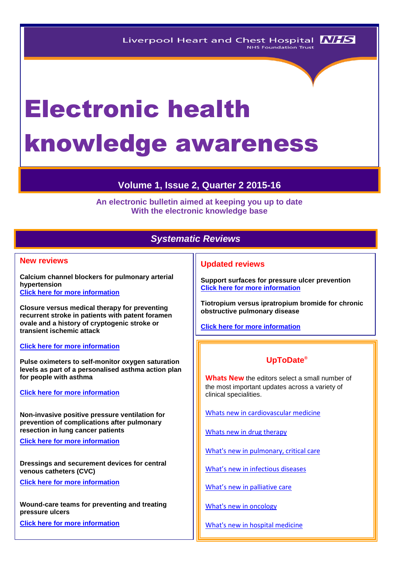# Electronic health knowledge awareness

# **Volume 1, Issue 2, Quarter 2 2015-16**

**An electronic bulletin aimed at keeping you up to date With the electronic knowledge base**

# *Systematic Reviews*

## **New reviews**

**Calcium channel blockers for pulmonary arterial hypertension [Click here for more information](http://onlinelibrary.wiley.com/enhanced/doi/10.1002/14651858.CD010066.pub2)**

**Closure versus medical therapy for preventing recurrent stroke in patients with patent foramen ovale and a history of cryptogenic stroke or transient ischemic attack**

## **[Click here for more information](http://onlinelibrary.wiley.com/enhanced/doi/10.1002/14651858.CD009938.pub2)**

**Pulse oximeters to self-monitor oxygen saturation levels as part of a personalised asthma action plan for people with asthma**

## **[Click here for more information](http://onlinelibrary.wiley.com/enhanced/doi/10.1002/14651858.CD011584.pub2)**

**Non-invasive positive pressure ventilation for prevention of complications after pulmonary resection in lung cancer patients**

**[Click here for more information](http://onlinelibrary.wiley.com/enhanced/doi/10.1002/14651858.CD010355.pub2)**

**Dressings and securement devices for central venous catheters (CVC)**

**[Click here for more information](http://onlinelibrary.wiley.com/enhanced/doi/10.1002/14651858.CD010367.pub2)**

**Wound-care teams for preventing and treating pressure ulcers**

**[Click here for more information](http://onlinelibrary.wiley.com/enhanced/doi/10.1002/14651858.CD011011.pub2)**

## **Updated reviews**

**Support surfaces for pressure ulcer prevention [Click here for more information](http://onlinelibrary.wiley.com/enhanced/doi/10.1002/14651858.CD001735.pub5)**

**Tiotropium versus ipratropium bromide for chronic obstructive pulmonary disease**

**Click [here for more information](http://onlinelibrary.wiley.com/enhanced/doi/10.1002/14651858.CD009552.pub3)**

## **UpToDate®**

**Whats New** the editors select a small number of the most important updates across a variety of clinical specialities.

[Whats new in cardiovascular medicine](http://www.uptodate.com/contents/whats-new-in-cardiovascular-medicine)

[Whats new in drug therapy](http://www.uptodate.com/contents/whats-new-in-drug-therapy)

[What's new in pulmonary, critical care](http://www.uptodate.com/contents/whats-new-in-pulmonary-critical-care-and-sleep-medicine)

[What's new in infectious diseases](http://www.uptodate.com/contents/whats-new-in-infectious-diseases)

[What's new in palliative care](http://www.uptodate.com/contents/whats-new-in-palliative-care)

[What's new in oncology](http://www.uptodate.com/contents/whats-new-in-oncology)

What's new [in hospital medicine](http://www.uptodate.com/contents/whats-new-in-hospital-medicine)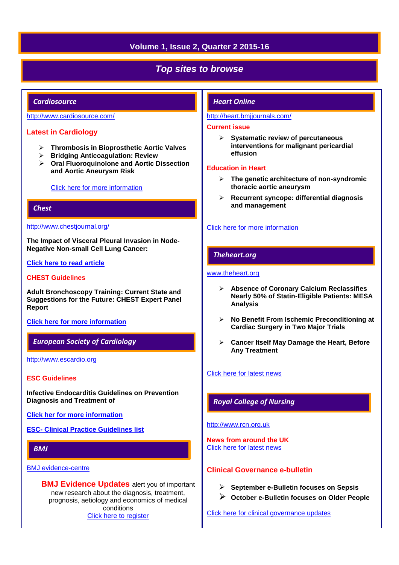# **Volume 1, Issue 2, Quarter 2 2015-16**

# *Top sites to browse*

## *Cardiosource*

## <http://www.cardiosource.com/>

## **Latest in Cardiology**

- **Thrombosis in Bioprosthetic Aortic Valves**
- **Bridging Anticoagulation: Review**
- **Oral Fluoroquinolone and Aortic Dissection and Aortic Aneurysm Risk**

## [Click here for more information](http://www.acc.org/latest-in-cardiology?w_nav=MN)

#### *Chest*

#### <http://www.chestjournal.org/>

**The Impact of Visceral Pleural Invasion in Node-Negative Non-small Cell Lung Cancer:**

#### **[Click here to read article](http://journal.publications.chestnet.org/article.aspx?articleid=2119204)**

#### **CHEST Guidelines**

**Adult Bronchoscopy Training: Current State and Suggestions for the Future: CHEST Expert Panel Report**

#### **[Click here for more information](http://journal.publications.chestnet.org/article.aspx?articleID=2119210)**

## *European Society of Cardiology*

#### [http://www.escardio.org](http://www.escardio.org/Pages/index.aspx)

#### **ESC Guidelines**

**Infective Endocarditis Guidelines on Prevention Diagnosis and Treatment of**

**[Click her for more information](http://www.escardio.org/Guidelines-&-Education/Clinical-Practice-Guidelines/Infective-Endocarditis-Guidelines-on-Prevention-Diagnosis-and-Treatment-of)**

**ESC- [Clinical Practice Guidelines list](http://www.escardio.org/Guidelines-&-Education/Clinical-Practice-Guidelines/ESC-Clinical-Practice-Guidelines-list/listing)**

## *BMJ*

#### [BMJ evidence-centre](http://plus.mcmaster.ca/EvidenceUpdates/Default.aspx)

**BMJ Evidence Updates** alert you of important new research about the diagnosis, treatment, prognosis, aetiology and economics of medical conditions

[Click here to register](http://plus.mcmaster.ca/EvidenceUpdates/Registration.aspx)

### *Heart Online*

#### <http://heart.bmjjournals.com/>

#### **Current issue**

 **Systematic review of percutaneous interventions for malignant pericardial effusion**

#### **Education in Heart**

- **The genetic architecture of non-syndromic thoracic aortic aneurysm**
- **Recurrent syncope: differential diagnosis and management**

### [Click here for more information](http://heart.bmj.com/content/current)

## *Theheart.org*

#### [www.theheart.org](http://www.theheart.org/)

- **Absence of Coronary Calcium Reclassifies Nearly 50% of Statin-Eligible Patients: MESA Analysis**
- **No Benefit From Ischemic Preconditioning at Cardiac Surgery in Two Major Trials**
- **Cancer Itself May Damage the Heart, Before Any Treatment**

#### [Click here for latest news](http://www.medscape.com/cardiology/news)

## *Royal College of Nursing*

#### [http://www.rcn.org.uk](http://www.rcn.org.uk/)

**News from around the UK** [Click here for latest news](http://www.rcn.org.uk/newsevents/news)

## **Clinical Governance e-bulletin**

- **September e-Bulletin focuses on Sepsis**
- **October e-Bulletin focuses on Older People**

[Click here for clinical governance updates](http://www.rcn.org.uk/development/practice/clinical_governance/quality_and_safety_e-bulletin/e-bulletin_archive)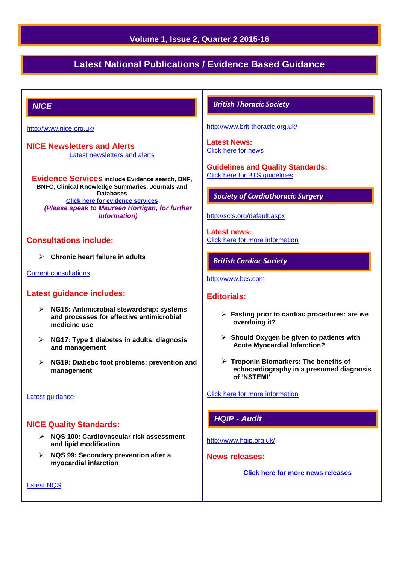## **Volume 1, Issue 2, Quarter 2 2015-16**

# **Latest National Publications / Evidence Based Guidance**

## *NICE*

<http://www.nice.org.uk/>

**NICE Newsletters and Alerts**  [Latest newsletters and alerts](http://www.nice.org.uk/news/nice-newsletters-and-alerts)

**Evidence Services include Evidence search, BNF, BNFC, Clinical Knowledge Summaries, Journals and Databases [Click here for evidence services](https://www.evidence.nhs.uk/)** *(Please speak to Maureen Horrigan, for further information)*

## **Consultations include:**

**Chronic heart failure in adults**

#### [Current consultations](http://www.nice.org.uk/getinvolved/currentniceconsultations/current_nice_consultations.jsp)

## **Latest guidance includes:**

- **NG15: Antimicrobial stewardship: systems and processes for effective antimicrobial medicine use**
- **NG17: Type 1 diabetes in adults: diagnosis and management**
- **NG19: Diabetic foot problems: prevention and management**

#### [Latest guidance](http://guidance.nice.org.uk/Date)

## **NICE Quality Standards:**

- **NQS 100: Cardiovascular risk assessment and lipid modification**
- **NQS 99: Secondary prevention after a myocardial infarction**

[Latest NQS](http://www.nice.org.uk/guidance/qualitystandards/qualitystandards.jsp)

## *British Thoracic Society*

<http://www.brit-thoracic.org.uk/>

**Latest News:** [Click here for news](https://www.brit-thoracic.org.uk/bts-news/)

**Guidelines and Quality Standards:** [Click here for BTS guidelines](https://www.brit-thoracic.org.uk/guidelines-and-quality-standards/) 

## *Society of Cardiothoracic Surgery*

#### <http://scts.org/default.aspx>

**Latest news:** [Click here for more information](http://scts.org/modules/news/)

## *British Cardiac Society*

[http://www.bcs.com](http://www.bcs.com/)

## **Editorials:**

- **Fasting prior to cardiac procedures: are we overdoing it?**
- **Should Oxygen be given to patients with Acute Myocardial Infarction?**
- **Troponin Biomarkers: The benefits of echocardiography in a presumed diagnosis of 'NSTEMI'**

## [Click here for more information](http://www.bcs.com/editorial/editorial.asp)

## *HQIP - Audit*

<http://www.hqip.org.uk/>

**News releases:**

**[Click here for more news releases](http://www.hqip.org.uk/news-releases/)**